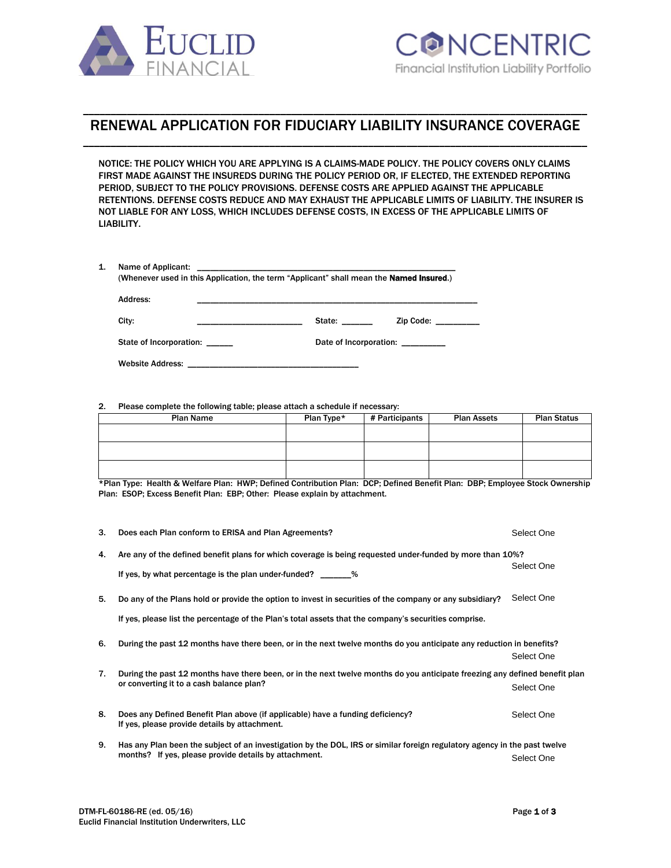

# \_\_\_\_\_\_\_\_\_\_\_\_\_\_\_\_\_\_\_\_\_\_\_\_\_\_\_\_\_\_\_\_\_\_\_\_\_\_\_\_\_\_\_\_\_\_\_\_\_\_\_\_\_\_\_\_\_\_\_\_\_\_\_\_\_\_\_\_\_\_\_\_\_\_\_\_\_\_\_\_\_\_\_\_\_\_\_\_\_\_\_\_ RENEWAL APPLICATION FOR FIDUCIARY LIABILITY INSURANCE COVERAGE \_\_\_\_\_\_\_\_\_\_\_\_\_\_\_\_\_\_\_\_\_\_\_\_\_\_\_\_\_\_\_\_\_\_\_\_\_\_\_\_\_\_\_\_\_\_\_\_\_\_\_\_\_\_\_\_\_\_\_\_\_\_\_\_\_\_\_\_\_\_\_\_\_\_\_\_\_\_\_\_\_\_\_\_\_\_\_\_\_\_\_\_

NOTICE: THE POLICY WHICH YOU ARE APPLYING IS A CLAIMS-MADE POLICY. THE POLICY COVERS ONLY CLAIMS FIRST MADE AGAINST THE INSUREDS DURING THE POLICY PERIOD OR, IF ELECTED, THE EXTENDED REPORTING PERIOD, SUBJECT TO THE POLICY PROVISIONS. DEFENSE COSTS ARE APPLIED AGAINST THE APPLICABLE RETENTIONS. DEFENSE COSTS REDUCE AND MAY EXHAUST THE APPLICABLE LIMITS OF LIABILITY. THE INSURER IS NOT LIABLE FOR ANY LOSS, WHICH INCLUDES DEFENSE COSTS, IN EXCESS OF THE APPLICABLE LIMITS OF LIABILITY.

| Name of Applicant:             | (Whenever used in this Application, the term "Applicant" shall mean the <b>Named Insured.</b> )                                                                                                                                                      |
|--------------------------------|------------------------------------------------------------------------------------------------------------------------------------------------------------------------------------------------------------------------------------------------------|
| Address:                       |                                                                                                                                                                                                                                                      |
| City:                          | State: will be a set of the set of the set of the set of the set of the set of the set of the set of the set o<br>Zip Code:<br><u> Alexandro de la contrada de la contrada de la contrada de la contrada de la contrada de la contrada de la con</u> |
| State of Incorporation: ______ | Date of Incorporation:                                                                                                                                                                                                                               |
| <b>Website Address:</b>        |                                                                                                                                                                                                                                                      |

### 2. Please complete the following table; please attach a schedule if necessary:

| <b>Plan Name</b> | Plan Type* | # Participants | <b>Plan Assets</b> | <b>Plan Status</b> |
|------------------|------------|----------------|--------------------|--------------------|
|                  |            |                |                    |                    |
|                  |            |                |                    |                    |
|                  |            |                |                    |                    |
|                  |            |                |                    |                    |

\*Plan Type: Health & Welfare Plan: HWP; Defined Contribution Plan: DCP; Defined Benefit Plan: DBP; Employee Stock Ownership Plan: ESOP; Excess Benefit Plan: EBP; Other: Please explain by attachment.

| 3. | Does each Plan conform to ERISA and Plan Agreements?                                                                                                                                                              | Select One |
|----|-------------------------------------------------------------------------------------------------------------------------------------------------------------------------------------------------------------------|------------|
| 4. | Are any of the defined benefit plans for which coverage is being requested under-funded by more than 10%?<br>If yes, by what percentage is the plan under-funded? ________%                                       | Select One |
| 5. | Do any of the Plans hold or provide the option to invest in securities of the company or any subsidiary?<br>If yes, please list the percentage of the Plan's total assets that the company's securities comprise. | Select One |
| 6. | During the past 12 months have there been, or in the next twelve months do you anticipate any reduction in benefits?                                                                                              | Select One |
| 7. | During the past 12 months have there been, or in the next twelve months do you anticipate freezing any defined benefit plan<br>or converting it to a cash balance plan?                                           | Select One |
| 8. | Does any Defined Benefit Plan above (if applicable) have a funding deficiency?<br>If yes, please provide details by attachment.                                                                                   | Select One |
| 9. | Has any Plan been the subject of an investigation by the DOL, IRS or similar foreign regulatory agency in the past twelve<br>months? If yes, please provide details by attachment.                                | Select One |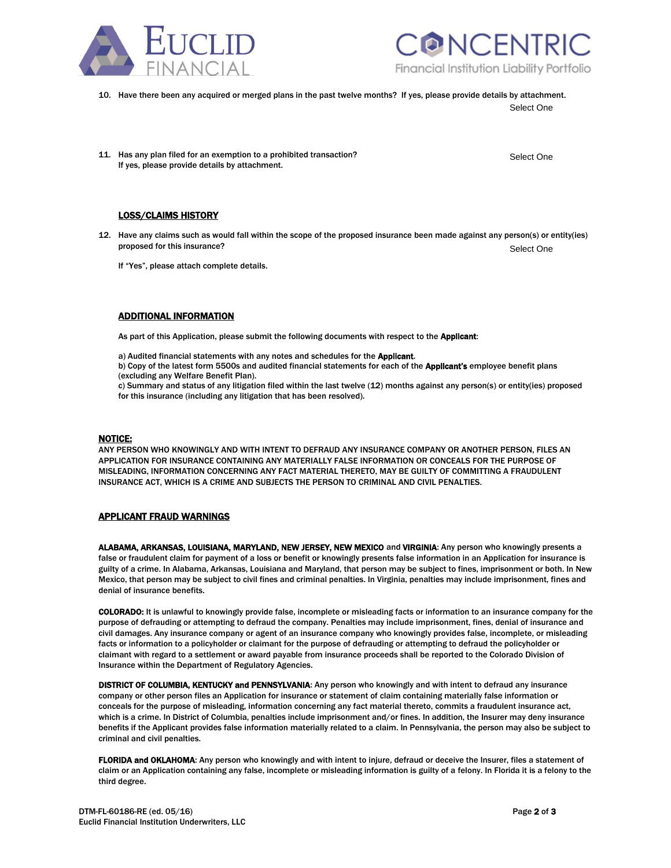



10. Have there been any acquired or merged plans in the past twelve months? If yes, please provide details by attachment.

Select One

Select One

11. Has any plan filed for an exemption to a prohibited transaction? If yes, please provide details by attachment.

# LOSS/CLAIMS HISTORY

12. Have any claims such as would fall within the scope of the proposed insurance been made against any person(s) or entity(ies) proposed for this insurance? Select One

If "Yes", please attach complete details.

# ADDITIONAL INFORMATION

As part of this Application, please submit the following documents with respect to the Applicant:

a) Audited financial statements with any notes and schedules for the Applicant. b) Copy of the latest form 5500s and audited financial statements for each of the Applicant's employee benefit plans (excluding any Welfare Benefit Plan).

c) Summary and status of any litigation filed within the last twelve (12) months against any person(s) or entity(ies) proposed for this insurance (including any litigation that has been resolved).

#### NOTICE:

ANY PERSON WHO KNOWINGLY AND WITH INTENT TO DEFRAUD ANY INSURANCE COMPANY OR ANOTHER PERSON, FILES AN APPLICATION FOR INSURANCE CONTAINING ANY MATERIALLY FALSE INFORMATION OR CONCEALS FOR THE PURPOSE OF MISLEADING, INFORMATION CONCERNING ANY FACT MATERIAL THERETO, MAY BE GUILTY OF COMMITTING A FRAUDULENT INSURANCE ACT, WHICH IS A CRIME AND SUBJECTS THE PERSON TO CRIMINAL AND CIVIL PENALTIES.

# APPLICANT FRAUD WARNINGS

ALABAMA, ARKANSAS, LOUISIANA, MARYLAND, NEW JERSEY, NEW MEXICO and VIRGINIA: Any person who knowingly presents a false or fraudulent claim for payment of a loss or benefit or knowingly presents false information in an Application for insurance is guilty of a crime. In Alabama, Arkansas, Louisiana and Maryland, that person may be subject to fines, imprisonment or both. In New Mexico, that person may be subject to civil fines and criminal penalties. In Virginia, penalties may include imprisonment, fines and denial of insurance benefits.

COLORADO: It is unlawful to knowingly provide false, incomplete or misleading facts or information to an insurance company for the purpose of defrauding or attempting to defraud the company. Penalties may include imprisonment, fines, denial of insurance and civil damages. Any insurance company or agent of an insurance company who knowingly provides false, incomplete, or misleading facts or information to a policyholder or claimant for the purpose of defrauding or attempting to defraud the policyholder or claimant with regard to a settlement or award payable from insurance proceeds shall be reported to the Colorado Division of Insurance within the Department of Regulatory Agencies.

DISTRICT OF COLUMBIA, KENTUCKY and PENNSYLVANIA: Any person who knowingly and with intent to defraud any insurance company or other person files an Application for insurance or statement of claim containing materially false information or conceals for the purpose of misleading, information concerning any fact material thereto, commits a fraudulent insurance act, which is a crime. In District of Columbia, penalties include imprisonment and/or fines. In addition, the Insurer may deny insurance benefits if the Applicant provides false information materially related to a claim. In Pennsylvania, the person may also be subject to criminal and civil penalties.

FLORIDA and OKLAHOMA: Any person who knowingly and with intent to injure, defraud or deceive the Insurer, files a statement of claim or an Application containing any false, incomplete or misleading information is guilty of a felony. In Florida it is a felony to the third degree.